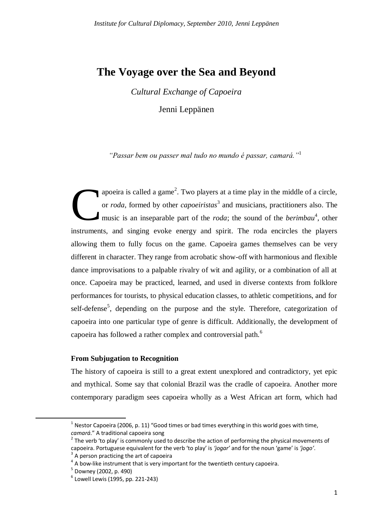# **The Voyage over the Sea and Beyond**

*Cultural Exchange of Capoeira*

Jenni Leppänen

*"Passar bem ou passer mal tudo no mundo é passar, camará."*<sup>1</sup>

apoeira is called a game<sup>2</sup>. Two players at a time play in the middle of a circle, or *roda*, formed by other *capoeiristas*<sup>3</sup> and musicians, practitioners also. The music is an inseparable part of the *roda*; the sound of the *berimbau*<sup>4</sup>, other instruments, and singing evoke energy and spirit. The roda encircles the players allowing them to fully focus on the game. Capoeira games themselves can be very different in character. They range from acrobatic show-off with harmonious and flexible dance improvisations to a palpable rivalry of wit and agility, or a combination of all at once. Capoeira may be practiced, learned, and used in diverse contexts from folklore performances for tourists, to physical education classes, to athletic competitions, and for self-defense<sup>5</sup>, depending on the purpose and the style. Therefore, categorization of capoeira into one particular type of genre is difficult. Additionally, the development of capoeira has followed a rather complex and controversial path.<sup>6</sup> C

### **From Subjugation to Recognition**

The history of capoeira is still to a great extent unexplored and contradictory, yet epic and mythical. Some say that colonial Brazil was the cradle of capoeira. Another more contemporary paradigm sees capoeira wholly as a West African art form, which had

 $<sup>1</sup>$  Nestor Capoeira (2006, p. 11) "Good times or bad times everything in this world goes with time,</sup> *camará*." A traditional capoeira song

 $2$  The verb 'to play' is commonly used to describe the action of performing the physical movements of capoeira. Portuguese equivalent for the verb 'to play' is *'jogar'* and for the noun 'game' is *'jogo'*. 3

A person practicing the art of capoeira

 $4\,$  A bow-like instrument that is very important for the twentieth century capoeira.

<sup>5</sup> Downey (2002, p. 490)

<sup>6</sup> Lowell Lewis (1995, pp. 221-243)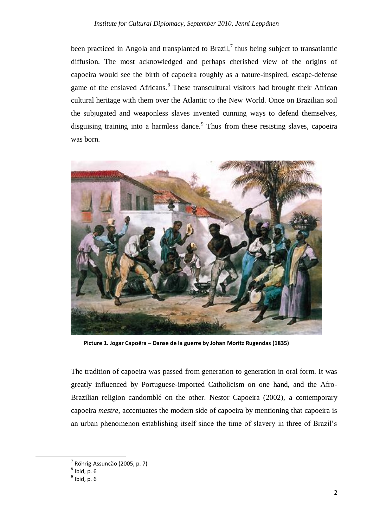been practiced in Angola and transplanted to Brazil, $\frac{7}{1}$  thus being subject to transatlantic diffusion. The most acknowledged and perhaps cherished view of the origins of capoeira would see the birth of capoeira roughly as a nature-inspired, escape-defense game of the enslaved Africans.<sup>8</sup> These transcultural visitors had brought their African cultural heritage with them over the Atlantic to the New World. Once on Brazilian soil the subjugated and weaponless slaves invented cunning ways to defend themselves, disguising training into a harmless dance.<sup>9</sup> Thus from these resisting slaves, capoeira was born.



**Picture 1. Jogar Capoëra – Danse de la guerre by Johan Moritz Rugendas (1835)**

The tradition of capoeira was passed from generation to generation in oral form. It was greatly influenced by Portuguese-imported Catholicism on one hand, and the Afro-Brazilian religion candomblé on the other. Nestor Capoeira (2002), a contemporary capoeira *mestre*, accentuates the modern side of capoeira by mentioning that capoeira is an urban phenomenon establishing itself since the time of slavery in three of Brazil's

**.** 

<sup>7</sup> Röhrig-Assuncão (2005, p. 7)

 $<sup>8</sup>$  Ibid, p. 6</sup>

 $<sup>9</sup>$  Ibid, p. 6</sup>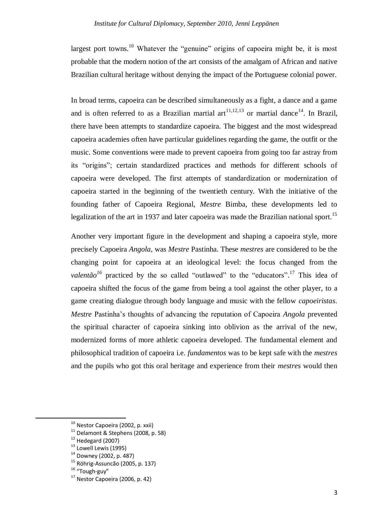largest port towns.<sup>10</sup> Whatever the "genuine" origins of capoeira might be, it is most probable that the modern notion of the art consists of the amalgam of African and native Brazilian cultural heritage without denying the impact of the Portuguese colonial power.

In broad terms, capoeira can be described simultaneously as a fight, a dance and a game and is often referred to as a Brazilian martial art<sup>11,12,13</sup> or martial dance<sup>14</sup>. In Brazil, there have been attempts to standardize capoeira. The biggest and the most widespread capoeira academies often have particular guidelines regarding the game, the outfit or the music. Some conventions were made to prevent capoeira from going too far astray from its "origins"; certain standardized practices and methods for different schools of capoeira were developed. The first attempts of standardization or modernization of capoeira started in the beginning of the twentieth century. With the initiative of the founding father of Capoeira Regional, *Mestre* Bimba, these developments led to legalization of the art in 1937 and later capoeira was made the Brazilian national sport.<sup>15</sup>

Another very important figure in the development and shaping a capoeira style, more precisely Capoeira *Angola*, was *Mestre* Pastinha. These *mestres* are considered to be the changing point for capoeira at an ideological level: the focus changed from the *valentão*<sup>16</sup> practiced by the so called "outlawed" to the "educators".<sup>17</sup> This idea of capoeira shifted the focus of the game from being a tool against the other player, to a game creating dialogue through body language and music with the fellow *capoeiristas*. *Mestre* Pastinha's thoughts of advancing the reputation of Capoeira *Angola* prevented the spiritual character of capoeira sinking into oblivion as the arrival of the new, modernized forms of more athletic capoeira developed. The fundamental element and philosophical tradition of capoeira i.e. *fundamentos* was to be kept safe with the *mestres* and the pupils who got this oral heritage and experience from their *mestres* would then

<sup>16</sup> "Tough-guy"

<sup>&</sup>lt;sup>10</sup> Nestor Capoeira (2002, p. xxii)

 $11$  Delamont & Stephens (2008, p. 58)

 $12$  Hedegard (2007)

 $13$  Lowell Lewis (1995)

<sup>14</sup> Downey (2002, p. 487)

<sup>15</sup> Röhrig-Assuncão (2005, p. 137)

 $17$  Nestor Capoeira (2006, p. 42)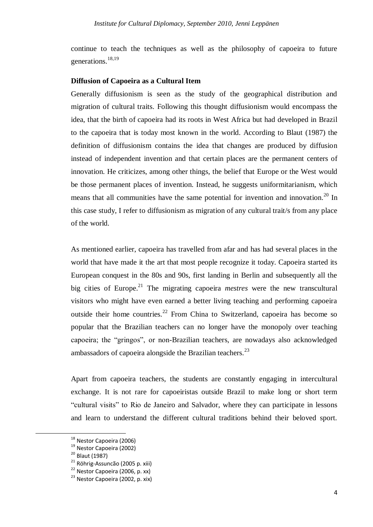continue to teach the techniques as well as the philosophy of capoeira to future generations.<sup>18,19</sup>

#### **Diffusion of Capoeira as a Cultural Item**

Generally diffusionism is seen as the study of the geographical distribution and migration of cultural traits. Following this thought diffusionism would encompass the idea, that the birth of capoeira had its roots in West Africa but had developed in Brazil to the capoeira that is today most known in the world. According to Blaut (1987) the definition of diffusionism contains the idea that changes are produced by diffusion instead of independent invention and that certain places are the permanent centers of innovation. He criticizes, among other things, the belief that Europe or the West would be those permanent places of invention. Instead, he suggests uniformitarianism, which means that all communities have the same potential for invention and innovation.<sup>20</sup> In this case study, I refer to diffusionism as migration of any cultural trait/s from any place of the world.

As mentioned earlier, capoeira has travelled from afar and has had several places in the world that have made it the art that most people recognize it today. Capoeira started its European conquest in the 80s and 90s, first landing in Berlin and subsequently all the big cities of Europe.<sup>21</sup> The migrating capoeira *mestres* were the new transcultural visitors who might have even earned a better living teaching and performing capoeira outside their home countries.<sup>22</sup> From China to Switzerland, capoeira has become so popular that the Brazilian teachers can no longer have the monopoly over teaching capoeira; the "gringos", or non-Brazilian teachers, are nowadays also acknowledged ambassadors of capoeira alongside the Brazilian teachers.<sup>23</sup>

Apart from capoeira teachers, the students are constantly engaging in intercultural exchange. It is not rare for capoeiristas outside Brazil to make long or short term "cultural visits" to Rio de Janeiro and Salvador, where they can participate in lessons and learn to understand the different cultural traditions behind their beloved sport.

<sup>&</sup>lt;sup>18</sup> Nestor Capoeira (2006)

<sup>19</sup> Nestor Capoeira (2002)

<sup>&</sup>lt;sup>20</sup> Blaut (1987)

<sup>21</sup> Röhrig-Assuncão (2005 p. xiii)

<sup>&</sup>lt;sup>22</sup> Nestor Capoeira (2006, p. xx)

<sup>23</sup> Nestor Capoeira (2002, p. xix)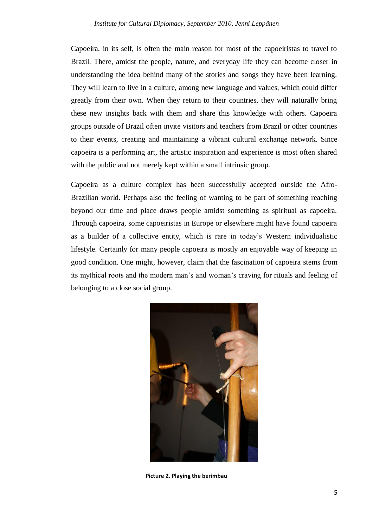Capoeira, in its self, is often the main reason for most of the capoeiristas to travel to Brazil. There, amidst the people, nature, and everyday life they can become closer in understanding the idea behind many of the stories and songs they have been learning. They will learn to live in a culture, among new language and values, which could differ greatly from their own. When they return to their countries, they will naturally bring these new insights back with them and share this knowledge with others. Capoeira groups outside of Brazil often invite visitors and teachers from Brazil or other countries to their events, creating and maintaining a vibrant cultural exchange network. Since capoeira is a performing art, the artistic inspiration and experience is most often shared with the public and not merely kept within a small intrinsic group.

Capoeira as a culture complex has been successfully accepted outside the Afro-Brazilian world. Perhaps also the feeling of wanting to be part of something reaching beyond our time and place draws people amidst something as spiritual as capoeira. Through capoeira, some capoeiristas in Europe or elsewhere might have found capoeira as a builder of a collective entity, which is rare in today's Western individualistic lifestyle. Certainly for many people capoeira is mostly an enjoyable way of keeping in good condition. One might, however, claim that the fascination of capoeira stems from its mythical roots and the modern man's and woman's craving for rituals and feeling of belonging to a close social group.



**Picture 2. Playing the berimbau**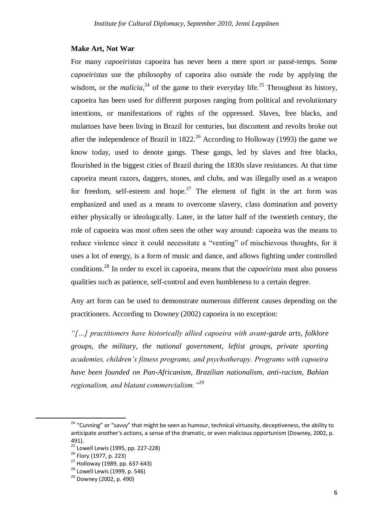#### **Make Art, Not War**

For many *capoeiristas* capoeira has never been a mere sport or passé-temps. Some *capoeiristas* use the philosophy of capoeira also outside the *roda* by applying the wisdom, or the *malícia*,<sup>24</sup> of the game to their everyday life.<sup>25</sup> Throughout its history, capoeira has been used for different purposes ranging from political and revolutionary intentions, or manifestations of rights of the oppressed. Slaves, free blacks, and mulattoes have been living in Brazil for centuries, but discontent and revolts broke out after the independence of Brazil in 1822.<sup>26</sup> According to Holloway (1993) the game we know today, used to denote gangs. These gangs, led by slaves and free blacks, flourished in the biggest cities of Brazil during the 1830s slave resistances. At that time capoeira meant razors, daggers, stones, and clubs, and was illegally used as a weapon for freedom, self-esteem and hope.<sup>27</sup> The element of fight in the art form was emphasized and used as a means to overcome slavery, class domination and poverty either physically or ideologically. Later, in the latter half of the twentieth century, the role of capoeira was most often seen the other way around: capoeira was the means to reduce violence since it could necessitate a "venting" of mischievous thoughts, for it uses a lot of energy, is a form of music and dance, and allows fighting under controlled conditions.<sup>28</sup> In order to excel in capoeira, means that the *capoeirista* must also possess qualities such as patience, self-control and even humbleness to a certain degree.

Any art form can be used to demonstrate numerous different causes depending on the practitioners. According to Downey (2002) capoeira is no exception:

*"[…] practitioners have historically allied capoeira with avant-garde arts, folklore groups, the military, the national government, leftist groups, private sporting academies, children's fitness programs, and psychotherapy. Programs with capoeira have been founded on Pan-Africanism, Brazilian nationalism, anti-racism, Bahian regionalism, and blatant commercialism."*<sup>29</sup>

<sup>&</sup>lt;sup>24</sup> "Cunning" or "savvy" that might be seen as humour, technical virtuosity, deceptiveness, the ability to anticipate another's actions, a sense of the dramatic, or even malicious opportunism (Downey, 2002, p. 491).

 $25$  Lowell Lewis (1995, pp. 227-228)

<sup>&</sup>lt;sup>26</sup> Flory (1977, p. 223)

 $^{27}$  Holloway (1989, pp. 637-643)

<sup>&</sup>lt;sup>28</sup> Lowell Lewis (1999, p. 546)

 $^{29}$  Downey (2002, p. 490)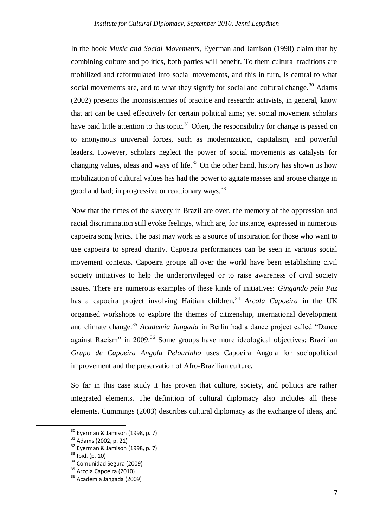In the book *Music and Social Movements*, Eyerman and Jamison (1998) claim that by combining culture and politics, both parties will benefit. To them cultural traditions are mobilized and reformulated into social movements, and this in turn, is central to what social movements are, and to what they signify for social and cultural change.<sup>30</sup> Adams (2002) presents the inconsistencies of practice and research: activists, in general, know that art can be used effectively for certain political aims; yet social movement scholars have paid little attention to this topic.<sup>31</sup> Often, the responsibility for change is passed on to anonymous universal forces, such as modernization, capitalism, and powerful leaders. However, scholars neglect the power of social movements as catalysts for changing values, ideas and ways of life.<sup>32</sup> On the other hand, history has shown us how mobilization of cultural values has had the power to agitate masses and arouse change in good and bad; in progressive or reactionary ways.<sup>33</sup>

Now that the times of the slavery in Brazil are over, the memory of the oppression and racial discrimination still evoke feelings, which are, for instance, expressed in numerous capoeira song lyrics. The past may work as a source of inspiration for those who want to use capoeira to spread charity. Capoeira performances can be seen in various social movement contexts. Capoeira groups all over the world have been establishing civil society initiatives to help the underprivileged or to raise awareness of civil society issues. There are numerous examples of these kinds of initiatives: *Gingando pela Paz* has a capoeira project involving Haitian children.<sup>34</sup> *Arcola Capoeira* in the UK organised workshops to explore the themes of citizenship, international development and climate change.<sup>35</sup> *Academia Jangada* in Berlin had a dance project called "Dance against Racism" in  $2009$ <sup>36</sup> Some groups have more ideological objectives: Brazilian *Grupo de Capoeira Angola Pelourinho* uses Capoeira Angola for sociopolitical improvement and the preservation of Afro-Brazilian culture.

So far in this case study it has proven that culture, society, and politics are rather integrated elements. The definition of cultural diplomacy also includes all these elements. Cummings (2003) describes cultural diplomacy as the exchange of ideas, and

**.** 

 $30$  Eyerman & Jamison (1998, p. 7)

<sup>31</sup> Adams (2002, p. 21)

<sup>&</sup>lt;sup>32</sup> Eyerman & Jamison (1998, p. 7)

 $33$  Ibid. (p. 10)

<sup>34</sup> Comunidad Segura (2009)

<sup>&</sup>lt;sup>35</sup> Arcola Capoeira (2010)

<sup>&</sup>lt;sup>36</sup> Academia Jangada (2009)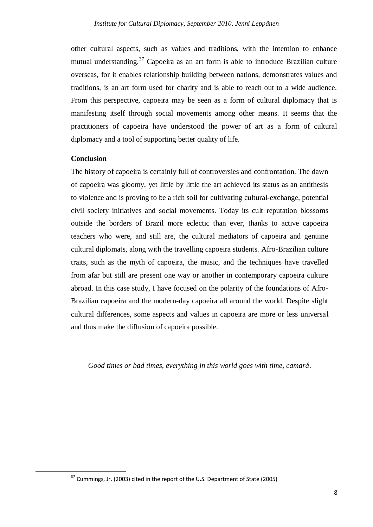other cultural aspects, such as values and traditions, with the intention to enhance mutual understanding.<sup>37</sup> Capoeira as an art form is able to introduce Brazilian culture overseas, for it enables relationship building between nations, demonstrates values and traditions, is an art form used for charity and is able to reach out to a wide audience. From this perspective, capoeira may be seen as a form of cultural diplomacy that is manifesting itself through social movements among other means. It seems that the practitioners of capoeira have understood the power of art as a form of cultural diplomacy and a tool of supporting better quality of life.

## **Conclusion**

1

The history of capoeira is certainly full of controversies and confrontation. The dawn of capoeira was gloomy, yet little by little the art achieved its status as an antithesis to violence and is proving to be a rich soil for cultivating cultural-exchange, potential civil society initiatives and social movements. Today its cult reputation blossoms outside the borders of Brazil more eclectic than ever, thanks to active capoeira teachers who were, and still are, the cultural mediators of capoeira and genuine cultural diplomats, along with the travelling capoeira students. Afro-Brazilian culture traits, such as the myth of capoeira, the music, and the techniques have travelled from afar but still are present one way or another in contemporary capoeira culture abroad. In this case study, I have focused on the polarity of the foundations of Afro-Brazilian capoeira and the modern-day capoeira all around the world. Despite slight cultural differences, some aspects and values in capoeira are more or less universal and thus make the diffusion of capoeira possible.

*Good times or bad times, everything in this world goes with time, camará*.

 $37$  Cummings, Jr. (2003) cited in the report of the U.S. Department of State (2005)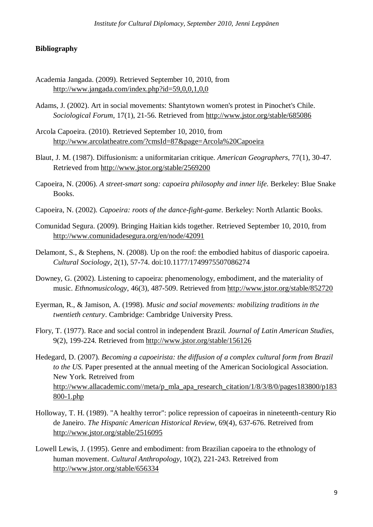#### **Bibliography**

- Academia Jangada. (2009). Retrieved September 10, 2010, from http://www.jangada.com/index.php?id=59,0,0,1,0,0
- Adams, J. (2002). Art in social movements: Shantytown women's protest in Pinochet's Chile. *Sociological Forum*, 17(1), 21-56. Retrieved from http://www.jstor.org/stable/685086
- Arcola Capoeira. (2010). Retrieved September 10, 2010, from http://www.arcolatheatre.com/?cmsId=87&page=Arcola%20Capoeira
- Blaut, J. M. (1987). Diffusionism: a uniformitarian critique. *American Geographers*, 77(1), 30-47. Retrieved from http://www.jstor.org/stable/2569200
- Capoeira, N. (2006). *A street-smart song: capoeira philosophy and inner life*. Berkeley: Blue Snake Books.
- Capoeira, N. (2002). *Capoeira: roots of the dance-fight-game*. Berkeley: North Atlantic Books.
- Comunidad Segura. (2009). Bringing Haitian kids together. Retrieved September 10, 2010, from http://www.comunidadesegura.org/en/node/42091
- Delamont, S., & Stephens, N. (2008). Up on the roof: the embodied habitus of diasporic capoeira. *Cultural Sociology*, 2(1), 57-74. doi:10.1177/1749975507086274
- Downey, G. (2002). Listening to capoeira: phenomenology, embodiment, and the materiality of music. *Ethnomusicology*, 46(3), 487-509. Retrieved from http://www.jstor.org/stable/852720
- Eyerman, R., & Jamison, A. (1998). *Music and social movements: mobilizing traditions in the twentieth century*. Cambridge: Cambridge University Press.
- Flory, T. (1977). Race and social control in independent Brazil. *Journal of Latin American Studies*, 9(2), 199-224. Retrieved from http://www.jstor.org/stable/156126
- Hedegard, D. (2007). *Becoming a capoeirista: the diffusion of a complex cultural form from Brazil to the US.* Paper presented at the annual meeting of the American Sociological Association. New York. Retreived from http://www.allacademic.com//meta/p\_mla\_apa\_research\_citation/1/8/3/8/0/pages183800/p183 800-1.php
- Holloway, T. H. (1989). "A healthy terror": police repression of capoeiras in nineteenth-century Rio de Janeiro. *The Hispanic American Historical Review*, 69(4), 637-676. Retreived from http://www.jstor.org/stable/2516095
- Lowell Lewis, J. (1995). Genre and embodiment: from Brazilian capoeira to the ethnology of human movement. *Cultural Anthropology*, 10(2), 221-243. Retreived from http://www.jstor.org/stable/656334